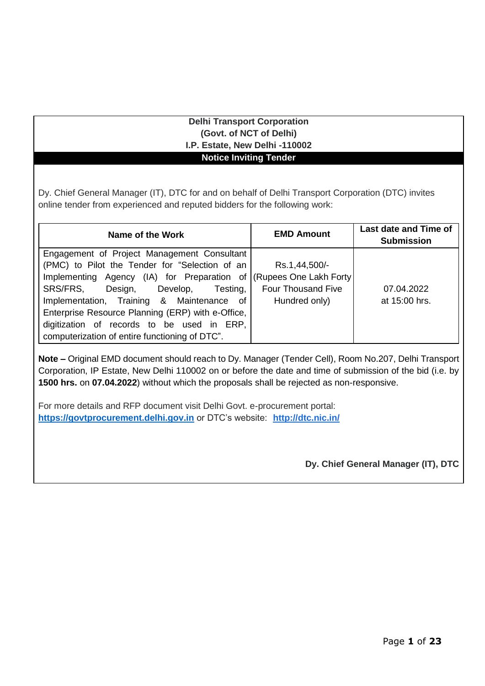#### **Delhi Transport Corporation (Govt. of NCT of Delhi) I.P. Estate, New Delhi -110002 Notice Inviting Tender**

Dy. Chief General Manager (IT), DTC for and on behalf of Delhi Transport Corporation (DTC) invites online tender from experienced and reputed bidders for the following work:

| Name of the Work                                  | <b>EMD Amount</b>         | Last date and Time of<br><b>Submission</b> |
|---------------------------------------------------|---------------------------|--------------------------------------------|
| Engagement of Project Management Consultant       |                           |                                            |
| (PMC) to Pilot the Tender for "Selection of an    | Rs.1,44,500/-             |                                            |
| Implementing Agency (IA) for Preparation of       | (Rupees One Lakh Forty)   |                                            |
| SRS/FRS,<br>Design, Develop, Testing,             | <b>Four Thousand Five</b> | 07.04.2022                                 |
| Implementation, Training & Maintenance of         | Hundred only)             | at 15:00 hrs.                              |
| Enterprise Resource Planning (ERP) with e-Office, |                           |                                            |
| digitization of records to be used in ERP,        |                           |                                            |
| computerization of entire functioning of DTC".    |                           |                                            |

**Note –** Original EMD document should reach to Dy. Manager (Tender Cell), Room No.207, Delhi Transport Corporation, IP Estate, New Delhi 110002 on or before the date and time of submission of the bid (i.e. by **1500 hrs.** on **07.04.2022**) without which the proposals shall be rejected as non-responsive.

For more details and RFP document visit Delhi Govt. e-procurement portal: **[https://govtprocurement.delhi.gov.in](https://govtprocurement.delhi.gov.in/)** or DTC's website: **http://dtc.nic.in/**

**Dy. Chief General Manager (IT), DTC**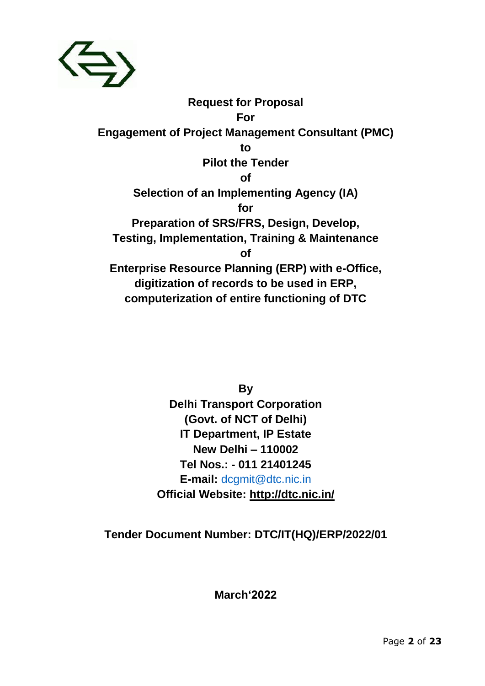

**Request for Proposal For Engagement of Project Management Consultant (PMC) to Pilot the Tender of Selection of an Implementing Agency (IA) for Preparation of SRS/FRS, Design, Develop, Testing, Implementation, Training & Maintenance of Enterprise Resource Planning (ERP) with e-Office, digitization of records to be used in ERP, computerization of entire functioning of DTC**

> **By Delhi Transport Corporation (Govt. of NCT of Delhi) IT Department, IP Estate New Delhi – 110002 Tel Nos.: - 011 21401245 E-mail:** [dcgmit@dtc.nic.in](mailto:dcgmit@dtc.nic.in) **Official Website: http://dtc.nic.in/**

**Tender Document Number: DTC/IT(HQ)/ERP/2022/01**

**March'2022**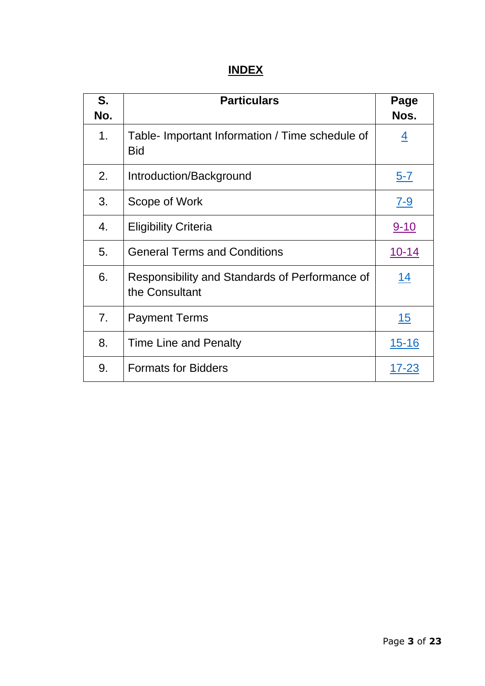# **INDEX**

| S.<br>No. | <b>Particulars</b>                                               | Page<br>Nos.   |
|-----------|------------------------------------------------------------------|----------------|
| 1.        | Table- Important Information / Time schedule of<br><b>Bid</b>    | $\overline{4}$ |
| 2.        | Introduction/Background                                          | <u>5-7</u>     |
| 3.        | Scope of Work                                                    | <u>7-9</u>     |
| 4.        | <b>Eligibility Criteria</b>                                      | <u>9-10</u>    |
| 5.        | <b>General Terms and Conditions</b>                              | $10 - 14$      |
| 6.        | Responsibility and Standards of Performance of<br>the Consultant | <u>14</u>      |
| 7.        | <b>Payment Terms</b>                                             | <u> 15</u>     |
| 8.        | Time Line and Penalty                                            | <u>15-16</u>   |
| 9.        | <b>Formats for Bidders</b>                                       | 17-23          |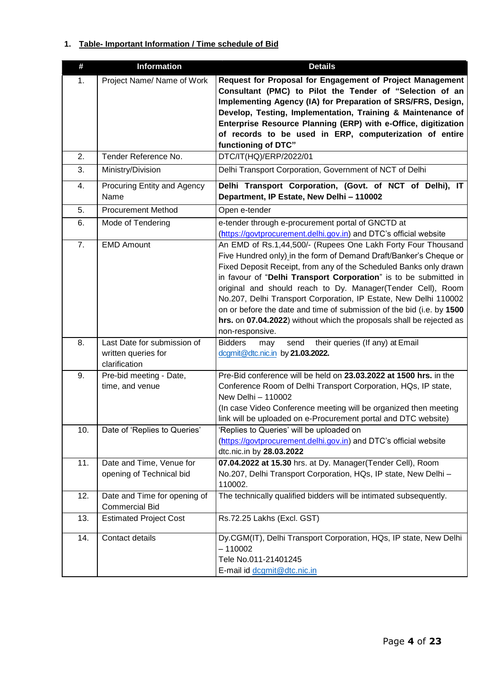### <span id="page-3-0"></span>**1. Table- Important Information / Time schedule of Bid**

| #   | <b>Information</b>                                                  | <b>Details</b>                                                                                                                                                                                                                                                                                                                                                                                                                                                                                                                                                                    |
|-----|---------------------------------------------------------------------|-----------------------------------------------------------------------------------------------------------------------------------------------------------------------------------------------------------------------------------------------------------------------------------------------------------------------------------------------------------------------------------------------------------------------------------------------------------------------------------------------------------------------------------------------------------------------------------|
| 1.  | Project Name/ Name of Work                                          | Request for Proposal for Engagement of Project Management<br>Consultant (PMC) to Pilot the Tender of "Selection of an<br>Implementing Agency (IA) for Preparation of SRS/FRS, Design,<br>Develop, Testing, Implementation, Training & Maintenance of<br>Enterprise Resource Planning (ERP) with e-Office, digitization<br>of records to be used in ERP, computerization of entire<br>functioning of DTC"                                                                                                                                                                          |
| 2.  | Tender Reference No.                                                | DTC/IT(HQ)/ERP/2022/01                                                                                                                                                                                                                                                                                                                                                                                                                                                                                                                                                            |
| 3.  | Ministry/Division                                                   | Delhi Transport Corporation, Government of NCT of Delhi                                                                                                                                                                                                                                                                                                                                                                                                                                                                                                                           |
| 4.  | Procuring Entity and Agency<br>Name                                 | Delhi Transport Corporation, (Govt. of NCT of Delhi), IT<br>Department, IP Estate, New Delhi - 110002                                                                                                                                                                                                                                                                                                                                                                                                                                                                             |
| 5.  | <b>Procurement Method</b>                                           | Open e-tender                                                                                                                                                                                                                                                                                                                                                                                                                                                                                                                                                                     |
| 6.  | Mode of Tendering                                                   | e-tender through e-procurement portal of GNCTD at<br>(https://govtprocurement.delhi.gov.in) and DTC's official website                                                                                                                                                                                                                                                                                                                                                                                                                                                            |
| 7.  | <b>EMD Amount</b>                                                   | An EMD of Rs.1,44,500/- (Rupees One Lakh Forty Four Thousand<br>Five Hundred only) in the form of Demand Draft/Banker's Cheque or<br>Fixed Deposit Receipt, from any of the Scheduled Banks only drawn<br>in favour of "Delhi Transport Corporation" is to be submitted in<br>original and should reach to Dy. Manager(Tender Cell), Room<br>No.207, Delhi Transport Corporation, IP Estate, New Delhi 110002<br>on or before the date and time of submission of the bid (i.e. by 1500<br>hrs. on 07.04.2022) without which the proposals shall be rejected as<br>non-responsive. |
| 8.  | Last Date for submission of<br>written queries for<br>clarification | <b>Bidders</b><br>their queries (If any) at Email<br>send<br>may<br>dcgmit@dtc.nic.in by 21.03.2022.                                                                                                                                                                                                                                                                                                                                                                                                                                                                              |
| 9.  | Pre-bid meeting - Date,<br>time, and venue                          | Pre-Bid conference will be held on 23.03.2022 at 1500 hrs. in the<br>Conference Room of Delhi Transport Corporation, HQs, IP state,<br>New Delhi - 110002<br>(In case Video Conference meeting will be organized then meeting<br>link will be uploaded on e-Procurement portal and DTC website)                                                                                                                                                                                                                                                                                   |
| 10. | Date of 'Replies to Queries'                                        | 'Replies to Queries' will be uploaded on<br>(https://govtprocurement.delhi.gov.in) and DTC's official website<br>dtc.nic.in by 28.03.2022                                                                                                                                                                                                                                                                                                                                                                                                                                         |
| 11. | Date and Time, Venue for<br>opening of Technical bid                | 07.04.2022 at 15.30 hrs. at Dy. Manager(Tender Cell), Room<br>No.207, Delhi Transport Corporation, HQs, IP state, New Delhi -<br>110002.                                                                                                                                                                                                                                                                                                                                                                                                                                          |
| 12. | Date and Time for opening of<br><b>Commercial Bid</b>               | The technically qualified bidders will be intimated subsequently.                                                                                                                                                                                                                                                                                                                                                                                                                                                                                                                 |
| 13. | <b>Estimated Project Cost</b>                                       | Rs.72.25 Lakhs (Excl. GST)                                                                                                                                                                                                                                                                                                                                                                                                                                                                                                                                                        |
| 14. | Contact details                                                     | Dy.CGM(IT), Delhi Transport Corporation, HQs, IP state, New Delhi<br>$-110002$<br>Tele No.011-21401245<br>E-mail id dcgmit@dtc.nic.in                                                                                                                                                                                                                                                                                                                                                                                                                                             |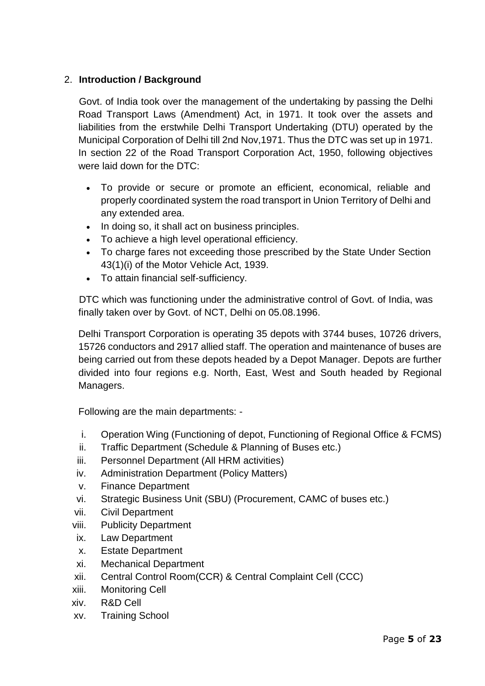# <span id="page-4-0"></span>2. **Introduction / Background**

Govt. of India took over the management of the undertaking by passing the Delhi Road Transport Laws (Amendment) Act, in 1971. It took over the assets and liabilities from the erstwhile Delhi Transport Undertaking (DTU) operated by the Municipal Corporation of Delhi till 2nd Nov,1971. Thus the DTC was set up in 1971. In section 22 of the Road Transport Corporation Act, 1950, following objectives were laid down for the DTC:

- To provide or secure or promote an efficient, economical, reliable and properly coordinated system the road transport in Union Territory of Delhi and any extended area.
- In doing so, it shall act on business principles.
- To achieve a high level operational efficiency.
- To charge fares not exceeding those prescribed by the State Under Section 43(1)(i) of the Motor Vehicle Act, 1939.
- To attain financial self-sufficiency.

DTC which was functioning under the administrative control of Govt. of India, was finally taken over by Govt. of NCT, Delhi on 05.08.1996.

Delhi Transport Corporation is operating 35 depots with 3744 buses, 10726 drivers, 15726 conductors and 2917 allied staff. The operation and maintenance of buses are being carried out from these depots headed by a Depot Manager. Depots are further divided into four regions e.g. North, East, West and South headed by Regional Managers.

Following are the main departments: -

- i. Operation Wing (Functioning of depot, Functioning of Regional Office & FCMS)
- ii. Traffic Department (Schedule & Planning of Buses etc.)
- iii. Personnel Department (All HRM activities)
- iv. Administration Department (Policy Matters)
- v. Finance Department
- vi. Strategic Business Unit (SBU) (Procurement, CAMC of buses etc.)
- vii. Civil Department
- viii. Publicity Department
- ix. Law Department
- x. Estate Department
- xi. Mechanical Department
- xii. Central Control Room(CCR) & Central Complaint Cell (CCC)
- xiii. Monitoring Cell
- xiv. R&D Cell
- xv. Training School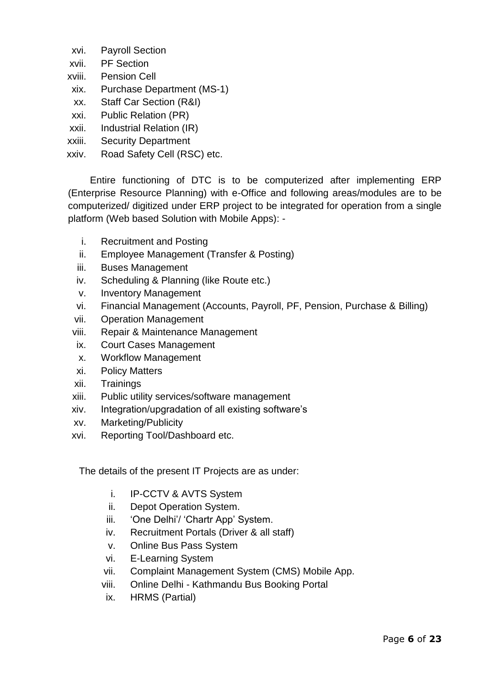- xvi. Payroll Section
- xvii. PF Section
- xviii. Pension Cell
- xix. Purchase Department (MS-1)
- xx. Staff Car Section (R&I)
- xxi. Public Relation (PR)
- xxii. Industrial Relation (IR)
- xxiii. Security Department
- xxiv. Road Safety Cell (RSC) etc.

Entire functioning of DTC is to be computerized after implementing ERP (Enterprise Resource Planning) with e-Office and following areas/modules are to be computerized/ digitized under ERP project to be integrated for operation from a single platform (Web based Solution with Mobile Apps): -

- i. Recruitment and Posting
- ii. Employee Management (Transfer & Posting)
- iii. Buses Management
- iv. Scheduling & Planning (like Route etc.)
- v. Inventory Management
- vi. Financial Management (Accounts, Payroll, PF, Pension, Purchase & Billing)
- vii. Operation Management
- viii. Repair & Maintenance Management
- ix. Court Cases Management
- x. Workflow Management
- xi. Policy Matters
- xii. Trainings
- xiii. Public utility services/software management
- xiv. Integration/upgradation of all existing software's
- xv. Marketing/Publicity
- xvi. Reporting Tool/Dashboard etc.

The details of the present IT Projects are as under:

- i. IP-CCTV & AVTS System
- ii. Depot Operation System.
- iii. 'One Delhi'/ 'Chartr App' System.
- iv. Recruitment Portals (Driver & all staff)
- v. Online Bus Pass System
- vi. E-Learning System
- vii. Complaint Management System (CMS) Mobile App.
- viii. Online Delhi Kathmandu Bus Booking Portal
- ix. HRMS (Partial)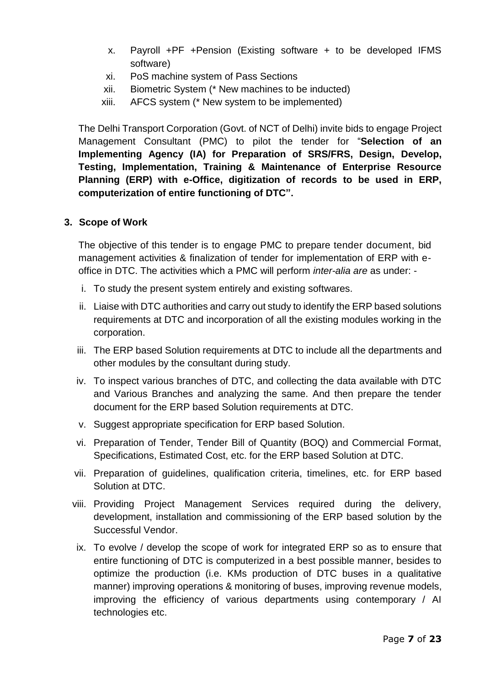- x. Payroll +PF +Pension (Existing software + to be developed IFMS software)
- xi. PoS machine system of Pass Sections
- xii. Biometric System (\* New machines to be inducted)
- xiii. AFCS system (\* New system to be implemented)

The Delhi Transport Corporation (Govt. of NCT of Delhi) invite bids to engage Project Management Consultant (PMC) to pilot the tender for "**Selection of an Implementing Agency (IA) for Preparation of SRS/FRS, Design, Develop, Testing, Implementation, Training & Maintenance of Enterprise Resource Planning (ERP) with e-Office, digitization of records to be used in ERP, computerization of entire functioning of DTC".**

#### <span id="page-6-0"></span>**3. Scope of Work**

The objective of this tender is to engage PMC to prepare tender document, bid management activities & finalization of tender for implementation of ERP with eoffice in DTC. The activities which a PMC will perform *inter-alia are* as under: -

- i. To study the present system entirely and existing softwares.
- ii. Liaise with DTC authorities and carry out study to identify the ERP based solutions requirements at DTC and incorporation of all the existing modules working in the corporation.
- iii. The ERP based Solution requirements at DTC to include all the departments and other modules by the consultant during study.
- iv. To inspect various branches of DTC, and collecting the data available with DTC and Various Branches and analyzing the same. And then prepare the tender document for the ERP based Solution requirements at DTC.
- v. Suggest appropriate specification for ERP based Solution.
- vi. Preparation of Tender, Tender Bill of Quantity (BOQ) and Commercial Format, Specifications, Estimated Cost, etc. for the ERP based Solution at DTC.
- vii. Preparation of guidelines, qualification criteria, timelines, etc. for ERP based Solution at DTC.
- viii. Providing Project Management Services required during the delivery, development, installation and commissioning of the ERP based solution by the Successful Vendor.
	- ix. To evolve / develop the scope of work for integrated ERP so as to ensure that entire functioning of DTC is computerized in a best possible manner, besides to optimize the production (i.e. KMs production of DTC buses in a qualitative manner) improving operations & monitoring of buses, improving revenue models, improving the efficiency of various departments using contemporary / AI technologies etc.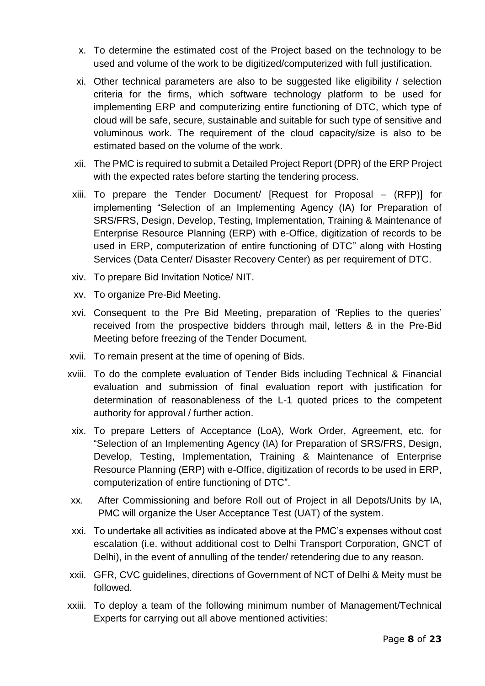- x. To determine the estimated cost of the Project based on the technology to be used and volume of the work to be digitized/computerized with full justification.
- xi. Other technical parameters are also to be suggested like eligibility / selection criteria for the firms, which software technology platform to be used for implementing ERP and computerizing entire functioning of DTC, which type of cloud will be safe, secure, sustainable and suitable for such type of sensitive and voluminous work. The requirement of the cloud capacity/size is also to be estimated based on the volume of the work.
- xii. The PMC is required to submit a Detailed Project Report (DPR) of the ERP Project with the expected rates before starting the tendering process.
- xiii. To prepare the Tender Document/ [Request for Proposal (RFP)] for implementing "Selection of an Implementing Agency (IA) for Preparation of SRS/FRS, Design, Develop, Testing, Implementation, Training & Maintenance of Enterprise Resource Planning (ERP) with e-Office, digitization of records to be used in ERP, computerization of entire functioning of DTC" along with Hosting Services (Data Center/ Disaster Recovery Center) as per requirement of DTC.
- xiv. To prepare Bid Invitation Notice/ NIT.
- xv. To organize Pre-Bid Meeting.
- xvi. Consequent to the Pre Bid Meeting, preparation of 'Replies to the queries' received from the prospective bidders through mail, letters & in the Pre-Bid Meeting before freezing of the Tender Document.
- xvii. To remain present at the time of opening of Bids.
- xviii. To do the complete evaluation of Tender Bids including Technical & Financial evaluation and submission of final evaluation report with justification for determination of reasonableness of the L-1 quoted prices to the competent authority for approval / further action.
- xix. To prepare Letters of Acceptance (LoA), Work Order, Agreement, etc. for "Selection of an Implementing Agency (IA) for Preparation of SRS/FRS, Design, Develop, Testing, Implementation, Training & Maintenance of Enterprise Resource Planning (ERP) with e-Office, digitization of records to be used in ERP, computerization of entire functioning of DTC".
- xx. After Commissioning and before Roll out of Project in all Depots/Units by IA, PMC will organize the User Acceptance Test (UAT) of the system.
- xxi. To undertake all activities as indicated above at the PMC's expenses without cost escalation (i.e. without additional cost to Delhi Transport Corporation, GNCT of Delhi), in the event of annulling of the tender/ retendering due to any reason.
- xxii. GFR, CVC guidelines, directions of Government of NCT of Delhi & Meity must be followed.
- xxiii. To deploy a team of the following minimum number of Management/Technical Experts for carrying out all above mentioned activities: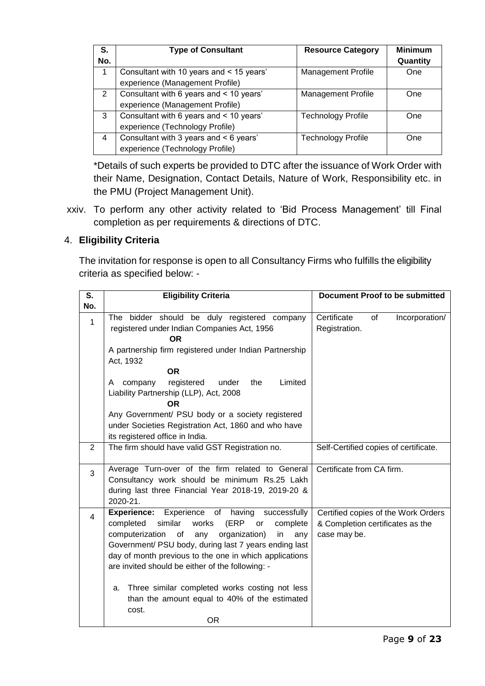| S.  | <b>Type of Consultant</b>                | <b>Resource Category</b>  | <b>Minimum</b> |
|-----|------------------------------------------|---------------------------|----------------|
| No. |                                          |                           | Quantity       |
| -1  | Consultant with 10 years and < 15 years' | <b>Management Profile</b> | <b>One</b>     |
|     | experience (Management Profile)          |                           |                |
| 2   | Consultant with 6 years and < 10 years'  | <b>Management Profile</b> | One            |
|     | experience (Management Profile)          |                           |                |
| 3   | Consultant with 6 years and < 10 years'  | <b>Technology Profile</b> | One            |
|     | experience (Technology Profile)          |                           |                |
| 4   | Consultant with 3 years and < 6 years'   | <b>Technology Profile</b> | <b>One</b>     |
|     | experience (Technology Profile)          |                           |                |

\*Details of such experts be provided to DTC after the issuance of Work Order with their Name, Designation, Contact Details, Nature of Work, Responsibility etc. in the PMU (Project Management Unit).

xxiv. To perform any other activity related to 'Bid Process Management' till Final completion as per requirements & directions of DTC.

# <span id="page-8-0"></span>4. **Eligibility Criteria**

The invitation for response is open to all Consultancy Firms who fulfills the eligibility criteria as specified below: -

| S.             | <b>Eligibility Criteria</b>                                                                                                                                                                                                                                                                                                                                                                                      | <b>Document Proof to be submitted</b>                                                   |  |
|----------------|------------------------------------------------------------------------------------------------------------------------------------------------------------------------------------------------------------------------------------------------------------------------------------------------------------------------------------------------------------------------------------------------------------------|-----------------------------------------------------------------------------------------|--|
| No.            |                                                                                                                                                                                                                                                                                                                                                                                                                  |                                                                                         |  |
| $\mathbf{1}$   | The bidder should be duly registered company<br>registered under Indian Companies Act, 1956<br><b>OR</b><br>A partnership firm registered under Indian Partnership                                                                                                                                                                                                                                               | Certificate<br>of<br>Incorporation/<br>Registration.                                    |  |
|                | Act, 1932                                                                                                                                                                                                                                                                                                                                                                                                        |                                                                                         |  |
|                | <b>OR</b>                                                                                                                                                                                                                                                                                                                                                                                                        |                                                                                         |  |
|                | registered<br>under<br>the<br>Limited<br>company<br>A<br>Liability Partnership (LLP), Act, 2008<br><b>OR</b>                                                                                                                                                                                                                                                                                                     |                                                                                         |  |
|                | Any Government/ PSU body or a society registered                                                                                                                                                                                                                                                                                                                                                                 |                                                                                         |  |
|                | under Societies Registration Act, 1860 and who have                                                                                                                                                                                                                                                                                                                                                              |                                                                                         |  |
|                | its registered office in India.                                                                                                                                                                                                                                                                                                                                                                                  |                                                                                         |  |
| 2              | The firm should have valid GST Registration no.                                                                                                                                                                                                                                                                                                                                                                  | Self-Certified copies of certificate.                                                   |  |
|                |                                                                                                                                                                                                                                                                                                                                                                                                                  |                                                                                         |  |
| 3              | Average Turn-over of the firm related to General<br>Consultancy work should be minimum Rs.25 Lakh<br>during last three Financial Year 2018-19, 2019-20 &<br>2020-21.                                                                                                                                                                                                                                             | Certificate from CA firm.                                                               |  |
| $\overline{4}$ | Experience of having<br><b>Experience:</b><br>successfully<br>similar<br>works<br>(ERP<br>completed<br>complete<br>or<br>organization)<br>computerization<br>of<br>any<br>in.<br>any<br>Government/ PSU body, during last 7 years ending last<br>day of month previous to the one in which applications<br>are invited should be either of the following: -<br>a. Three similar completed works costing not less | Certified copies of the Work Orders<br>& Completion certificates as the<br>case may be. |  |
|                | than the amount equal to 40% of the estimated                                                                                                                                                                                                                                                                                                                                                                    |                                                                                         |  |
|                | cost.                                                                                                                                                                                                                                                                                                                                                                                                            |                                                                                         |  |
|                | <b>OR</b>                                                                                                                                                                                                                                                                                                                                                                                                        |                                                                                         |  |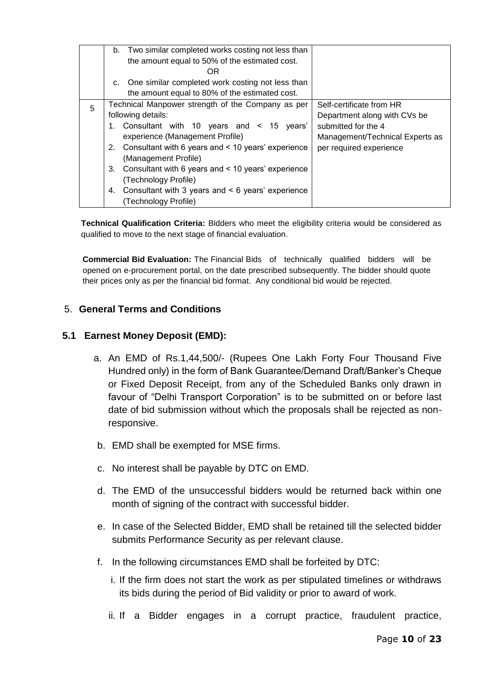|   | b. Two similar completed works costing not less than<br>the amount equal to 50% of the estimated cost.<br>OR<br>One similar completed work costing not less than<br>C.                                                                                                                                                                                                                                                    |                                                                                                                                               |
|---|---------------------------------------------------------------------------------------------------------------------------------------------------------------------------------------------------------------------------------------------------------------------------------------------------------------------------------------------------------------------------------------------------------------------------|-----------------------------------------------------------------------------------------------------------------------------------------------|
|   | the amount equal to 80% of the estimated cost.                                                                                                                                                                                                                                                                                                                                                                            |                                                                                                                                               |
| 5 | Technical Manpower strength of the Company as per<br>following details:<br>1. Consultant with 10 years and < 15 years'<br>experience (Management Profile)<br>Consultant with 6 years and < 10 years' experience<br>2.<br>(Management Profile)<br>Consultant with 6 years and < 10 years' experience<br>3.<br>(Technology Profile)<br>Consultant with 3 years and $\leq 6$ years' experience<br>4.<br>(Technology Profile) | Self-certificate from HR<br>Department along with CVs be<br>submitted for the 4<br>Management/Technical Experts as<br>per required experience |

**Technical Qualification Criteria:** Bidders who meet the eligibility criteria would be considered as qualified to move to the next stage of financial evaluation.

**Commercial Bid Evaluation:** The Financial Bids of technically qualified bidders will be opened on e-procurement portal, on the date prescribed subsequently. The bidder should quote their prices only as per the financial bid format. Any conditional bid would be rejected.

#### <span id="page-9-0"></span>5. **General Terms and Conditions**

#### **5.1 Earnest Money Deposit (EMD):**

- a. An EMD of Rs.1,44,500/- (Rupees One Lakh Forty Four Thousand Five Hundred only) in the form of Bank Guarantee/Demand Draft/Banker's Cheque or Fixed Deposit Receipt, from any of the Scheduled Banks only drawn in favour of "Delhi Transport Corporation" is to be submitted on or before last date of bid submission without which the proposals shall be rejected as nonresponsive.
- b. EMD shall be exempted for MSE firms.
- c. No interest shall be payable by DTC on EMD.
- d. The EMD of the unsuccessful bidders would be returned back within one month of signing of the contract with successful bidder.
- e. In case of the Selected Bidder, EMD shall be retained till the selected bidder submits Performance Security as per relevant clause.
- f. In the following circumstances EMD shall be forfeited by DTC:
	- i. If the firm does not start the work as per stipulated timelines or withdraws its bids during the period of Bid validity or prior to award of work.
	- ii. If a Bidder engages in a corrupt practice, fraudulent practice,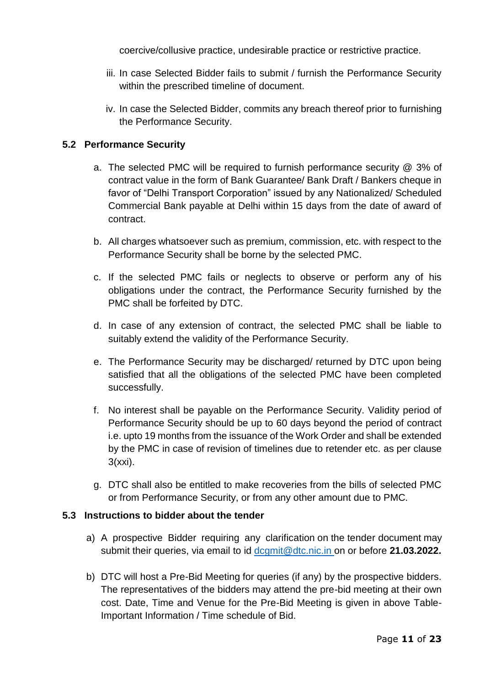coercive/collusive practice, undesirable practice or restrictive practice.

- iii. In case Selected Bidder fails to submit / furnish the Performance Security within the prescribed timeline of document.
- iv. In case the Selected Bidder, commits any breach thereof prior to furnishing the Performance Security.

## **5.2 Performance Security**

- a. The selected PMC will be required to furnish performance security @ 3% of contract value in the form of Bank Guarantee/ Bank Draft / Bankers cheque in favor of "Delhi Transport Corporation" issued by any Nationalized/ Scheduled Commercial Bank payable at Delhi within 15 days from the date of award of contract.
- b. All charges whatsoever such as premium, commission, etc. with respect to the Performance Security shall be borne by the selected PMC.
- c. If the selected PMC fails or neglects to observe or perform any of his obligations under the contract, the Performance Security furnished by the PMC shall be forfeited by DTC.
- d. In case of any extension of contract, the selected PMC shall be liable to suitably extend the validity of the Performance Security.
- e. The Performance Security may be discharged/ returned by DTC upon being satisfied that all the obligations of the selected PMC have been completed successfully.
- f. No interest shall be payable on the Performance Security. Validity period of Performance Security should be up to 60 days beyond the period of contract i.e. upto 19 months from the issuance of the Work Order and shall be extended by the PMC in case of revision of timelines due to retender etc. as per clause 3(xxi).
- g. DTC shall also be entitled to make recoveries from the bills of selected PMC or from Performance Security, or from any other amount due to PMC.

#### **5.3 Instructions to bidder about the tender**

- a) A prospective Bidder requiring any clarification on the tender document may submit their queries, via email to id [dcgmit@dtc.nic.in](mailto:dcgmit@dtc.nic.in) on or before **21.03.2022.**
- b) DTC will host a Pre-Bid Meeting for queries (if any) by the prospective bidders. The representatives of the bidders may attend the pre-bid meeting at their own cost. Date, Time and Venue for the Pre-Bid Meeting is given in above Table-Important Information / Time schedule of Bid.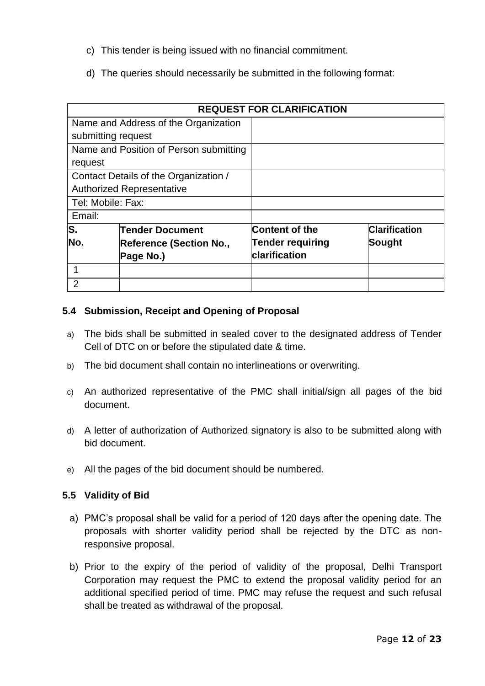- c) This tender is being issued with no financial commitment.
- d) The queries should necessarily be submitted in the following format:

|                                       | <b>REQUEST FOR CLARIFICATION</b>       |                         |                      |  |
|---------------------------------------|----------------------------------------|-------------------------|----------------------|--|
|                                       | Name and Address of the Organization   |                         |                      |  |
| submitting request                    |                                        |                         |                      |  |
|                                       | Name and Position of Person submitting |                         |                      |  |
| request                               |                                        |                         |                      |  |
|                                       | Contact Details of the Organization /  |                         |                      |  |
|                                       | <b>Authorized Representative</b>       |                         |                      |  |
| Tel: Mobile: Fax:                     |                                        |                         |                      |  |
| Email:                                |                                        |                         |                      |  |
| S.                                    | <b>Tender Document</b>                 | Content of the          | <b>Clarification</b> |  |
| No.<br><b>Reference (Section No.,</b> |                                        | <b>Tender requiring</b> | Sought               |  |
| Page No.)                             |                                        | <b>clarification</b>    |                      |  |
|                                       |                                        |                         |                      |  |
| $\overline{2}$                        |                                        |                         |                      |  |

#### **5.4 Submission, Receipt and Opening of Proposal**

- a) The bids shall be submitted in sealed cover to the designated address of Tender Cell of DTC on or before the stipulated date & time.
- b) The bid document shall contain no interlineations or overwriting.
- c) An authorized representative of the PMC shall initial/sign all pages of the bid document.
- d) A letter of authorization of Authorized signatory is also to be submitted along with bid document.
- e) All the pages of the bid document should be numbered.

#### **5.5 Validity of Bid**

- a) PMC's proposal shall be valid for a period of 120 days after the opening date. The proposals with shorter validity period shall be rejected by the DTC as nonresponsive proposal.
- b) Prior to the expiry of the period of validity of the proposal, Delhi Transport Corporation may request the PMC to extend the proposal validity period for an additional specified period of time. PMC may refuse the request and such refusal shall be treated as withdrawal of the proposal.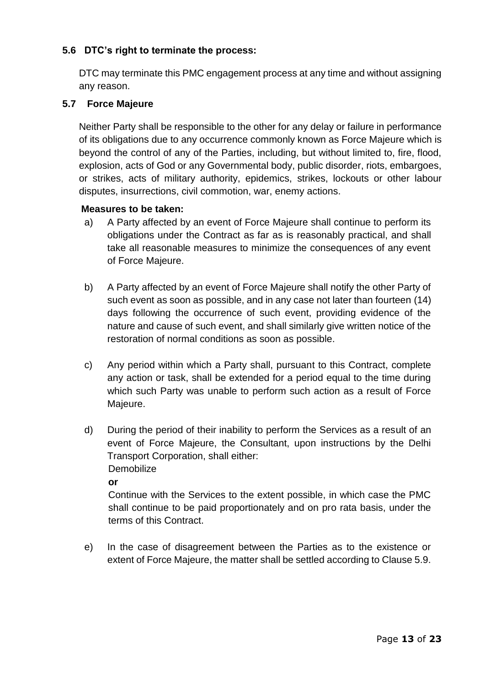## **5.6 DTC's right to terminate the process:**

DTC may terminate this PMC engagement process at any time and without assigning any reason.

#### **5.7 Force Majeure**

Neither Party shall be responsible to the other for any delay or failure in performance of its obligations due to any occurrence commonly known as Force Majeure which is beyond the control of any of the Parties, including, but without limited to, fire, flood, explosion, acts of God or any Governmental body, public disorder, riots, embargoes, or strikes, acts of military authority, epidemics, strikes, lockouts or other labour disputes, insurrections, civil commotion, war, enemy actions.

#### **Measures to be taken:**

- a) A Party affected by an event of Force Majeure shall continue to perform its obligations under the Contract as far as is reasonably practical, and shall take all reasonable measures to minimize the consequences of any event of Force Majeure.
- b) A Party affected by an event of Force Majeure shall notify the other Party of such event as soon as possible, and in any case not later than fourteen (14) days following the occurrence of such event, providing evidence of the nature and cause of such event, and shall similarly give written notice of the restoration of normal conditions as soon as possible.
- c) Any period within which a Party shall, pursuant to this Contract, complete any action or task, shall be extended for a period equal to the time during which such Party was unable to perform such action as a result of Force Majeure.
- d) During the period of their inability to perform the Services as a result of an event of Force Majeure, the Consultant, upon instructions by the Delhi Transport Corporation, shall either: **Demobilize**

**or**

Continue with the Services to the extent possible, in which case the PMC shall continue to be paid proportionately and on pro rata basis, under the terms of this Contract.

e) In the case of disagreement between the Parties as to the existence or extent of Force Majeure, the matter shall be settled according to Clause 5.9.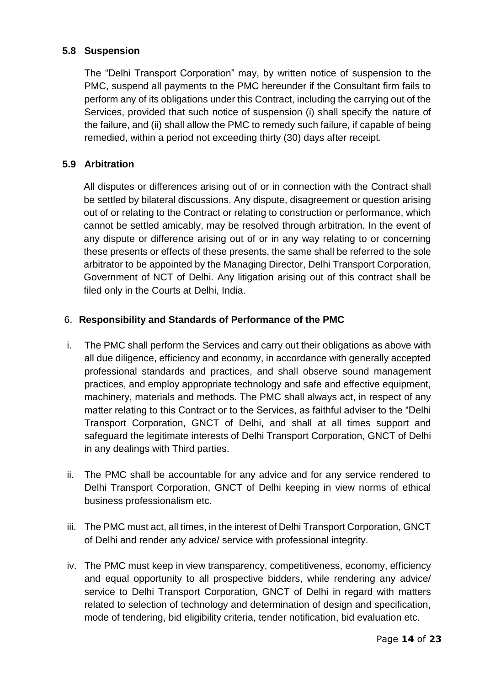### **5.8 Suspension**

The "Delhi Transport Corporation" may, by written notice of suspension to the PMC, suspend all payments to the PMC hereunder if the Consultant firm fails to perform any of its obligations under this Contract, including the carrying out of the Services, provided that such notice of suspension (i) shall specify the nature of the failure, and (ii) shall allow the PMC to remedy such failure, if capable of being remedied, within a period not exceeding thirty (30) days after receipt.

#### **5.9 Arbitration**

All disputes or differences arising out of or in connection with the Contract shall be settled by bilateral discussions. Any dispute, disagreement or question arising out of or relating to the Contract or relating to construction or performance, which cannot be settled amicably, may be resolved through arbitration. In the event of any dispute or difference arising out of or in any way relating to or concerning these presents or effects of these presents, the same shall be referred to the sole arbitrator to be appointed by the Managing Director, Delhi Transport Corporation, Government of NCT of Delhi. Any litigation arising out of this contract shall be filed only in the Courts at Delhi, India.

#### <span id="page-13-0"></span>6. **Responsibility and Standards of Performance of the PMC**

- i. The PMC shall perform the Services and carry out their obligations as above with all due diligence, efficiency and economy, in accordance with generally accepted professional standards and practices, and shall observe sound management practices, and employ appropriate technology and safe and effective equipment, machinery, materials and methods. The PMC shall always act, in respect of any matter relating to this Contract or to the Services, as faithful adviser to the "Delhi Transport Corporation, GNCT of Delhi, and shall at all times support and safeguard the legitimate interests of Delhi Transport Corporation, GNCT of Delhi in any dealings with Third parties.
- ii. The PMC shall be accountable for any advice and for any service rendered to Delhi Transport Corporation, GNCT of Delhi keeping in view norms of ethical business professionalism etc.
- iii. The PMC must act, all times, in the interest of Delhi Transport Corporation, GNCT of Delhi and render any advice/ service with professional integrity.
- iv. The PMC must keep in view transparency, competitiveness, economy, efficiency and equal opportunity to all prospective bidders, while rendering any advice/ service to Delhi Transport Corporation, GNCT of Delhi in regard with matters related to selection of technology and determination of design and specification, mode of tendering, bid eligibility criteria, tender notification, bid evaluation etc.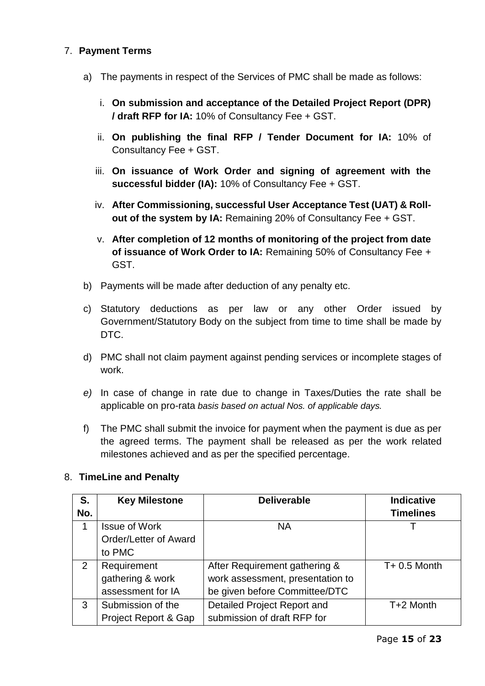### <span id="page-14-0"></span>7. **Payment Terms**

- a) The payments in respect of the Services of PMC shall be made as follows:
	- i. **On submission and acceptance of the Detailed Project Report (DPR) / draft RFP for IA:** 10% of Consultancy Fee + GST.
	- ii. **On publishing the final RFP / Tender Document for IA:** 10% of Consultancy Fee + GST.
	- iii. **On issuance of Work Order and signing of agreement with the successful bidder (IA):** 10% of Consultancy Fee + GST.
	- iv. **After Commissioning, successful User Acceptance Test (UAT) & Rollout of the system by IA:** Remaining 20% of Consultancy Fee + GST.
	- v. **After completion of 12 months of monitoring of the project from date of issuance of Work Order to IA:** Remaining 50% of Consultancy Fee + GST.
- b) Payments will be made after deduction of any penalty etc.
- c) Statutory deductions as per law or any other Order issued by Government/Statutory Body on the subject from time to time shall be made by DTC.
- d) PMC shall not claim payment against pending services or incomplete stages of work.
- *e)* In case of change in rate due to change in Taxes/Duties the rate shall be applicable on pro-rata *basis based on actual Nos. of applicable days.*
- f) The PMC shall submit the invoice for payment when the payment is due as per the agreed terms. The payment shall be released as per the work related milestones achieved and as per the specified percentage.

#### <span id="page-14-1"></span>8. **TimeLine and Penalty**

| S.  | <b>Key Milestone</b>  | <b>Deliverable</b>               | <b>Indicative</b> |
|-----|-----------------------|----------------------------------|-------------------|
| No. |                       |                                  | <b>Timelines</b>  |
| 1   | <b>Issue of Work</b>  | <b>NA</b>                        |                   |
|     | Order/Letter of Award |                                  |                   |
|     | to PMC                |                                  |                   |
| 2   | Requirement           | After Requirement gathering &    | $T + 0.5$ Month   |
|     | gathering & work      | work assessment, presentation to |                   |
|     | assessment for IA     | be given before Committee/DTC    |                   |
| 3   | Submission of the     | Detailed Project Report and      | T+2 Month         |
|     | Project Report & Gap  | submission of draft RFP for      |                   |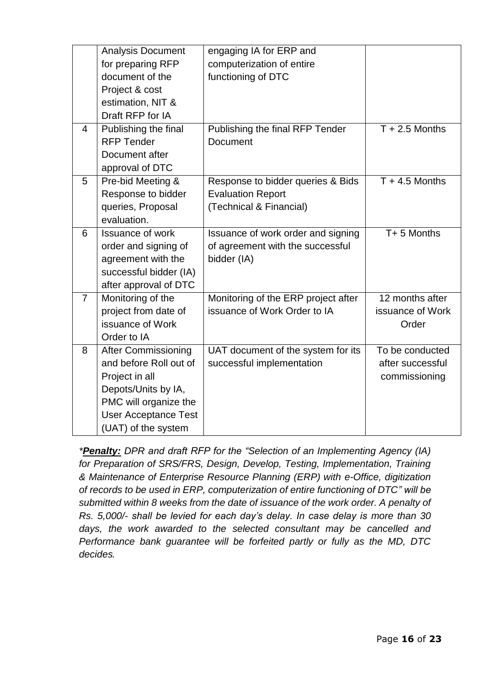|                | <b>Analysis Document</b><br>for preparing RFP<br>document of the<br>Project & cost<br>estimation, NIT &<br>Draft RFP for IA                                                  | engaging IA for ERP and<br>computerization of entire<br>functioning of DTC               |                                                      |
|----------------|------------------------------------------------------------------------------------------------------------------------------------------------------------------------------|------------------------------------------------------------------------------------------|------------------------------------------------------|
| $\overline{4}$ | Publishing the final<br><b>RFP Tender</b><br>Document after<br>approval of DTC                                                                                               | Publishing the final RFP Tender<br><b>Document</b>                                       | $T + 2.5$ Months                                     |
| 5              | Pre-bid Meeting &<br>Response to bidder<br>queries, Proposal<br>evaluation.                                                                                                  | Response to bidder queries & Bids<br><b>Evaluation Report</b><br>(Technical & Financial) | $T + 4.5$ Months                                     |
| 6              | <b>Issuance of work</b><br>order and signing of<br>agreement with the<br>successful bidder (IA)<br>after approval of DTC                                                     | Issuance of work order and signing<br>of agreement with the successful<br>bidder (IA)    | T+5 Months                                           |
| $\overline{7}$ | Monitoring of the<br>project from date of<br>issuance of Work<br>Order to IA                                                                                                 | Monitoring of the ERP project after<br>issuance of Work Order to IA                      | 12 months after<br>issuance of Work<br>Order         |
| 8              | <b>After Commissioning</b><br>and before Roll out of<br>Project in all<br>Depots/Units by IA,<br>PMC will organize the<br><b>User Acceptance Test</b><br>(UAT) of the system | UAT document of the system for its<br>successful implementation                          | To be conducted<br>after successful<br>commissioning |

*\*Penalty: DPR and draft RFP for the "Selection of an Implementing Agency (IA) for Preparation of SRS/FRS, Design, Develop, Testing, Implementation, Training & Maintenance of Enterprise Resource Planning (ERP) with e-Office, digitization of records to be used in ERP, computerization of entire functioning of DTC" will be submitted within 8 weeks from the date of issuance of the work order. A penalty of Rs. 5,000/- shall be levied for each day's delay. In case delay is more than 30 days, the work awarded to the selected consultant may be cancelled and Performance bank guarantee will be forfeited partly or fully as the MD, DTC decides.*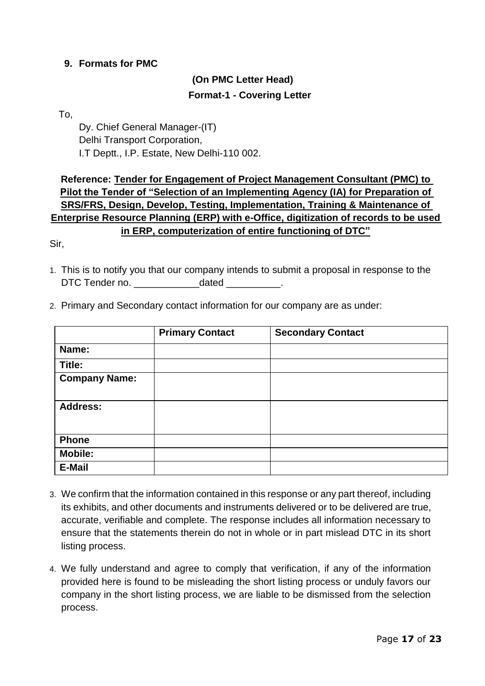#### <span id="page-16-0"></span>**9. Formats for PMC**

# **(On PMC Letter Head) Format-1 - Covering Letter**

To,

Dy. Chief General Manager-(IT) Delhi Transport Corporation, I.T Deptt., I.P. Estate, New Delhi-110 002.

# **Reference: Tender for Engagement of Project Management Consultant (PMC) to Pilot the Tender of "Selection of an Implementing Agency (IA) for Preparation of SRS/FRS, Design, Develop, Testing, Implementation, Training & Maintenance of Enterprise Resource Planning (ERP) with e-Office, digitization of records to be used in ERP, computerization of entire functioning of DTC"**

Sir,

- 1. This is to notify you that our company intends to submit a proposal in response to the DTC Tender no. **Example 20** dated
- 2. Primary and Secondary contact information for our company are as under:

|                      | <b>Primary Contact</b> | <b>Secondary Contact</b> |
|----------------------|------------------------|--------------------------|
| Name:                |                        |                          |
| Title:               |                        |                          |
| <b>Company Name:</b> |                        |                          |
| <b>Address:</b>      |                        |                          |
| <b>Phone</b>         |                        |                          |
| <b>Mobile:</b>       |                        |                          |
| E-Mail               |                        |                          |

- 3. We confirm that the information contained in this response or any part thereof, including its exhibits, and other documents and instruments delivered or to be delivered are true, accurate, verifiable and complete. The response includes all information necessary to ensure that the statements therein do not in whole or in part mislead DTC in its short listing process.
- 4. We fully understand and agree to comply that verification, if any of the information provided here is found to be misleading the short listing process or unduly favors our company in the short listing process, we are liable to be dismissed from the selection process.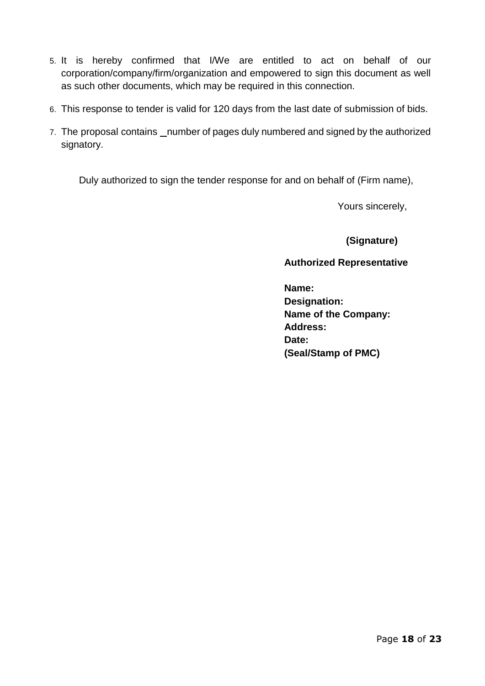- 5. It is hereby confirmed that I/We are entitled to act on behalf of our corporation/company/firm/organization and empowered to sign this document as well as such other documents, which may be required in this connection.
- 6. This response to tender is valid for 120 days from the last date of submission of bids.
- 7. The proposal contains number of pages duly numbered and signed by the authorized signatory.

Duly authorized to sign the tender response for and on behalf of (Firm name),

Yours sincerely,

**(Signature)**

**Authorized Representative**

**Name: Designation: Name of the Company: Address: Date: (Seal/Stamp of PMC)**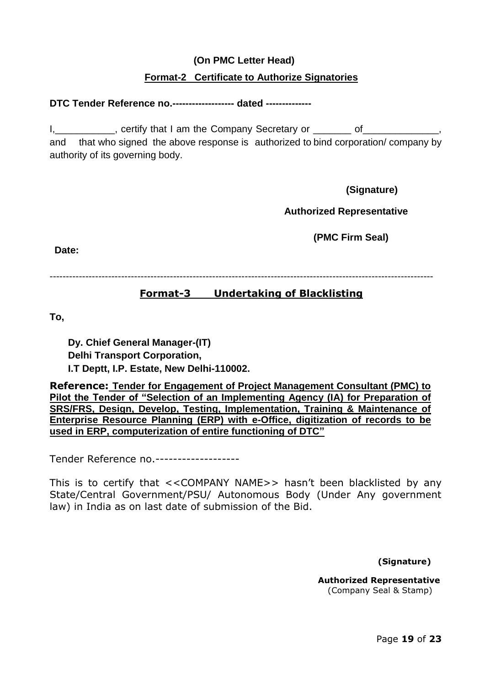## **(On PMC Letter Head)**

## **Format-2 Certificate to Authorize Signatories**

#### **DTC Tender Reference no.------------------- dated --------------**

I, eertify that I am the Company Secretary or The Secretary of and that who signed the above response is authorized to bind corporation/ company by authority of its governing body.

**(Signature)**

**Authorized Representative**

**(PMC Firm Seal)**

**Date:**

----------------------------------------------------------------------------------------------------------------------

## **Format-3 Undertaking of Blacklisting**

**To,**

**Dy. Chief General Manager-(IT) Delhi Transport Corporation, I.T Deptt, I.P. Estate, New Delhi-110002.**

**Reference: Tender for Engagement of Project Management Consultant (PMC) to Pilot the Tender of "Selection of an Implementing Agency (IA) for Preparation of SRS/FRS, Design, Develop, Testing, Implementation, Training & Maintenance of Enterprise Resource Planning (ERP) with e-Office, digitization of records to be used in ERP, computerization of entire functioning of DTC"**

Tender Reference no.-------------------

This is to certify that <<COMPANY NAME>> hasn't been blacklisted by any State/Central Government/PSU/ Autonomous Body (Under Any government law) in India as on last date of submission of the Bid.

**(Signature)**

**Authorized Representative** (Company Seal & Stamp)

Page **19** of **23**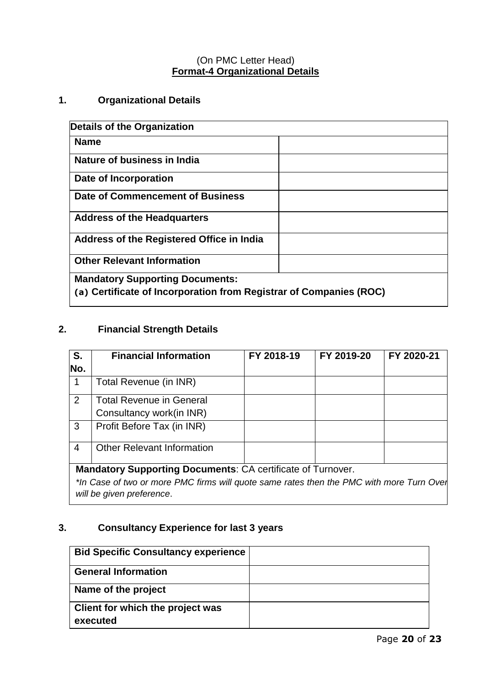# (On PMC Letter Head) **Format-4 Organizational Details**

# **1. Organizational Details**

| Details of the Organization                                        |  |
|--------------------------------------------------------------------|--|
| <b>Name</b>                                                        |  |
| Nature of business in India                                        |  |
| Date of Incorporation                                              |  |
| Date of Commencement of Business                                   |  |
| <b>Address of the Headquarters</b>                                 |  |
| Address of the Registered Office in India                          |  |
| <b>Other Relevant Information</b>                                  |  |
| <b>Mandatory Supporting Documents:</b>                             |  |
| (a) Certificate of Incorporation from Registrar of Companies (ROC) |  |

# **2. Financial Strength Details**

| S.             | <b>Financial Information</b>                                                                                          | FY 2018-19 | FY 2019-20 | FY 2020-21 |
|----------------|-----------------------------------------------------------------------------------------------------------------------|------------|------------|------------|
| No.            |                                                                                                                       |            |            |            |
| 1              | Total Revenue (in INR)                                                                                                |            |            |            |
| $\overline{2}$ | <b>Total Revenue in General</b>                                                                                       |            |            |            |
|                | Consultancy work(in INR)                                                                                              |            |            |            |
| 3              | Profit Before Tax (in INR)                                                                                            |            |            |            |
| 4              | <b>Other Relevant Information</b>                                                                                     |            |            |            |
|                | <b>Mandatory Supporting Documents: CA certificate of Turnover.</b>                                                    |            |            |            |
|                | *In Case of two or more PMC firms will quote same rates then the PMC with more Turn Ovel<br>will be given preference. |            |            |            |

# **3. Consultancy Experience for last 3 years**

| <b>Bid Specific Consultancy experience</b> |  |
|--------------------------------------------|--|
| <b>General Information</b>                 |  |
| Name of the project                        |  |
| Client for which the project was           |  |
| executed                                   |  |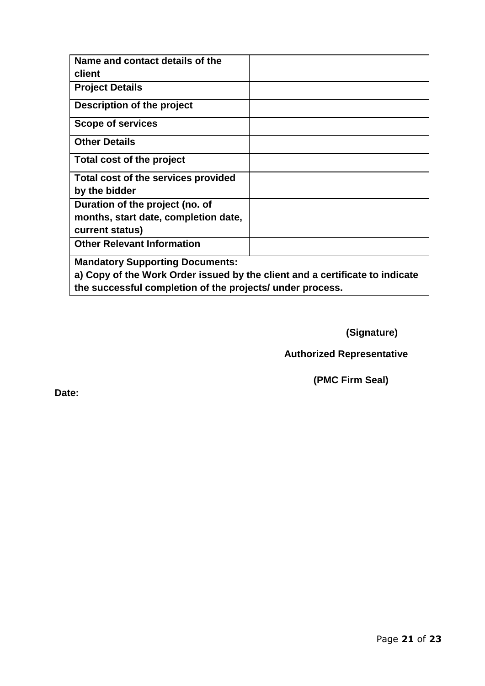| Name and contact details of the                                              |  |  |
|------------------------------------------------------------------------------|--|--|
| client                                                                       |  |  |
| <b>Project Details</b>                                                       |  |  |
| Description of the project                                                   |  |  |
| <b>Scope of services</b>                                                     |  |  |
| <b>Other Details</b>                                                         |  |  |
| Total cost of the project                                                    |  |  |
| Total cost of the services provided                                          |  |  |
| by the bidder                                                                |  |  |
| Duration of the project (no. of                                              |  |  |
| months, start date, completion date,                                         |  |  |
| current status)                                                              |  |  |
| <b>Other Relevant Information</b>                                            |  |  |
| <b>Mandatory Supporting Documents:</b>                                       |  |  |
| a) Copy of the Work Order issued by the client and a certificate to indicate |  |  |

**the successful completion of the projects/ under process.**

**(Signature)**

**Authorized Representative**

**(PMC Firm Seal)**

**Date:**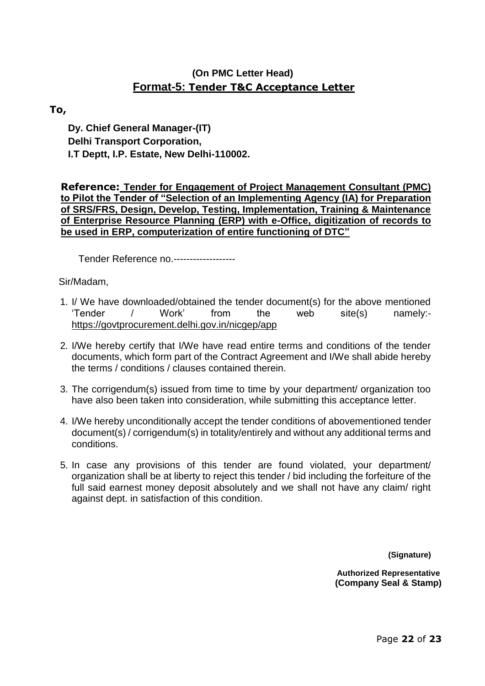# **(On PMC Letter Head) Format-5: Tender T&C Acceptance Letter**

### **To,**

**Dy. Chief General Manager-(IT) Delhi Transport Corporation, I.T Deptt, I.P. Estate, New Delhi-110002.**

**Reference: Tender for Engagement of Project Management Consultant (PMC) to Pilot the Tender of "Selection of an Implementing Agency (IA) for Preparation of SRS/FRS, Design, Develop, Testing, Implementation, Training & Maintenance of Enterprise Resource Planning (ERP) with e-Office, digitization of records to be used in ERP, computerization of entire functioning of DTC"**

Tender Reference no.-------------------

Sir/Madam,

- 1. I/ We have downloaded/obtained the tender document(s) for the above mentioned 'Tender / Work' from the web site(s) namely: https://govtprocurement.delhi.gov.in/nicgep/app
- 2. I/We hereby certify that I/We have read entire terms and conditions of the tender documents, which form part of the Contract Agreement and I/We shall abide hereby the terms / conditions / clauses contained therein.
- 3. The corrigendum(s) issued from time to time by your department/ organization too have also been taken into consideration, while submitting this acceptance letter.
- 4. I/We hereby unconditionally accept the tender conditions of abovementioned tender document(s) / corrigendum(s) in totality/entirely and without any additional terms and conditions.
- 5. In case any provisions of this tender are found violated, your department/ organization shall be at liberty to reject this tender / bid including the forfeiture of the full said earnest money deposit absolutely and we shall not have any claim/ right against dept. in satisfaction of this condition.

**(Signature)**

**Authorized Representative (Company Seal & Stamp)**